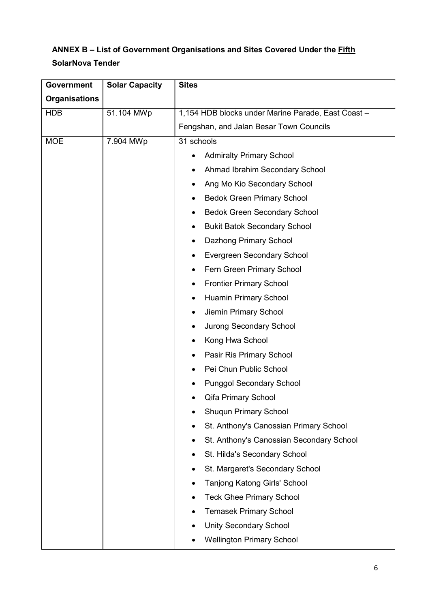## ANNEX B - List of Government Organisations and Sites Covered Under the **Fifth** SolarNova Tender

| <b>Government</b>    | <b>Solar Capacity</b> | <b>Sites</b>                                       |
|----------------------|-----------------------|----------------------------------------------------|
| <b>Organisations</b> |                       |                                                    |
| <b>HDB</b>           | 51.104 MWp            | 1,154 HDB blocks under Marine Parade, East Coast - |
|                      |                       | Fengshan, and Jalan Besar Town Councils            |
| <b>MOE</b>           | 7.904 MWp             | 31 schools                                         |
|                      |                       | <b>Admiralty Primary School</b><br>٠               |
|                      |                       | Ahmad Ibrahim Secondary School                     |
|                      |                       | Ang Mo Kio Secondary School<br>٠                   |
|                      |                       | <b>Bedok Green Primary School</b><br>٠             |
|                      |                       | <b>Bedok Green Secondary School</b><br>٠           |
|                      |                       | <b>Bukit Batok Secondary School</b><br>٠           |
|                      |                       | Dazhong Primary School<br>٠                        |
|                      |                       | <b>Evergreen Secondary School</b><br>٠             |
|                      |                       | Fern Green Primary School                          |
|                      |                       | <b>Frontier Primary School</b><br>٠                |
|                      |                       | <b>Huamin Primary School</b><br>٠                  |
|                      |                       | Jiemin Primary School<br>٠                         |
|                      |                       | <b>Jurong Secondary School</b><br>٠                |
|                      |                       | Kong Hwa School<br>٠                               |
|                      |                       | Pasir Ris Primary School<br>٠                      |
|                      |                       | Pei Chun Public School                             |
|                      |                       | <b>Punggol Secondary School</b>                    |
|                      |                       | Qifa Primary School                                |
|                      |                       | <b>Shuqun Primary School</b>                       |
|                      |                       | St. Anthony's Canossian Primary School             |
|                      |                       | St. Anthony's Canossian Secondary School           |
|                      |                       | St. Hilda's Secondary School<br>٠                  |
|                      |                       | St. Margaret's Secondary School<br>$\bullet$       |
|                      |                       | Tanjong Katong Girls' School                       |
|                      |                       | <b>Teck Ghee Primary School</b>                    |
|                      |                       | <b>Temasek Primary School</b>                      |
|                      |                       | <b>Unity Secondary School</b>                      |
|                      |                       | <b>Wellington Primary School</b>                   |